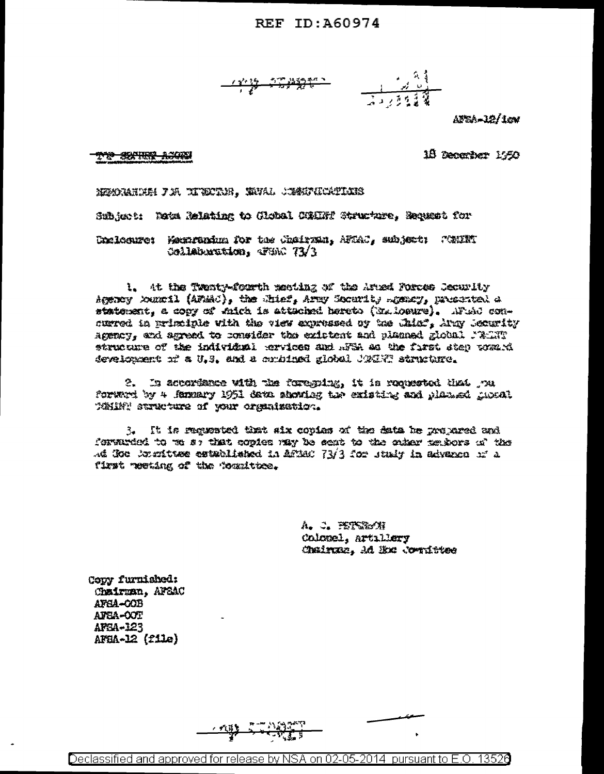### REF ID: A60974

AUSA-12/1cm

### 1<del>10 SIXTURE A.1</del>025

18 December 1950

MEMORARIAH PIA TINETAH . MHAL CIMETATANIS

Subject: Wata Relating to Global COMERY Structure. Recusst for

Unalacure: Mexarunium for the Chairman, AFOAC, subject: Willif Collaboration, TWC 73/3

1. At the Twenty-fourth meeting of the Arned Forces Security Agency Xunril (AFMAC), the Shief, Army Socurity Remary, presented a statement, a copy of which is attached hareto (Na.loeure). AFial concurred in principle with the view approssed of the Chiaf. Army Security Agency, and agreed to consider the existent and planned global MART structure of the individual corvices and AFSA as the first step wants develoxment of a U.S. and a conbined global UQCHT structure.

2. In accordance with the foregoing, it is requested that you forward by 4 femmary 1951 data showing the existing and planued mucal Whiff structure of your organization.

3. It is requested that six copies of the data be prepared and forwarded to we so that copies may be sent to the outer neutors of the Ad Goo Jounttage established in AffAC 73/3 for study in advance of a first meeting of the foundttee.

> A. J. PETCRON Colomel, Artillery Chainza, Ad Ex: Confittee

Copy furnished: Chairman. AFSAC AFSA-COB AFSA-OOT AFEA-123 AFBA-12 (file)